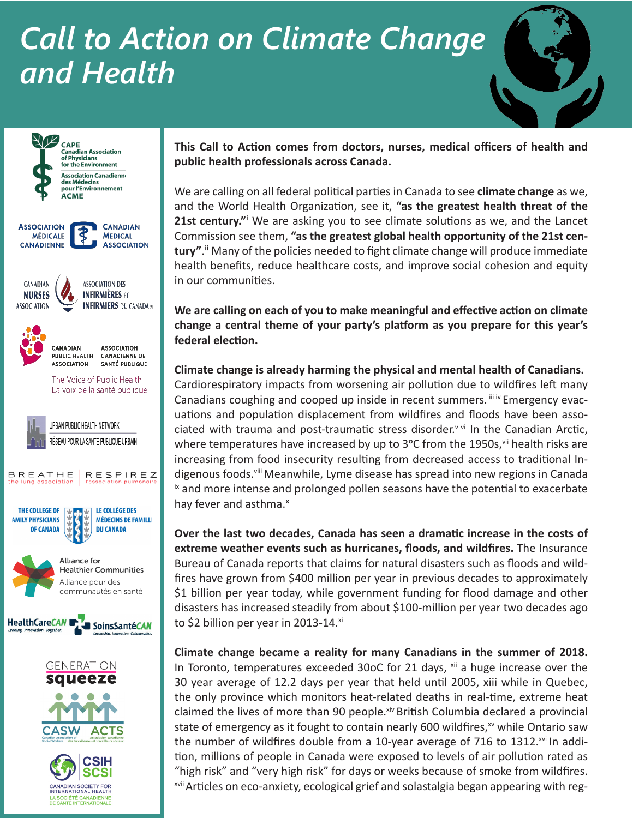## *Call to Action on Climate Change and Health*





**This Call to Action comes from doctors, nurses, medical officers of health and public health professionals across Canada.**

We are calling on all federal political parties in Canada to see **climate change** as we, and the World Health Organization, see it, **"as the greatest health threat of the**  21st century."<sup>i</sup> We are asking you to see climate solutions as we, and the Lancet Commission see them, **"as the greatest global health opportunity of the 21st century"**.ii Many of the policies needed to fight climate change will produce immediate health benefits, reduce healthcare costs, and improve social cohesion and equity in our communities.

**We are calling on each of you to make meaningful and effective action on climate change a central theme of your party's platform as you prepare for this year's federal election.**

**Climate change is already harming the physical and mental health of Canadians.** Cardiorespiratory impacts from worsening air pollution due to wildfires left many Canadians coughing and cooped up inside in recent summers.  $\mathbf{u}_i \times \mathbf{v}_i$  Emergency evacuations and population displacement from wildfires and floods have been associated with trauma and post-traumatic stress disorder.<sup>v vi</sup> In the Canadian Arctic, where temperatures have increased by up to  $3^{\circ}$ C from the 1950s,  $vii$  health risks are increasing from food insecurity resulting from decreased access to traditional Indigenous foods.viii Meanwhile, Lyme disease has spread into new regions in Canada  $i<sub>x</sub>$  and more intense and prolonged pollen seasons have the potential to exacerbate hay fever and asthma.<sup>x</sup>

**Over the last two decades, Canada has seen a dramatic increase in the costs of extreme weather events such as hurricanes, floods, and wildfires.** The Insurance Bureau of Canada reports that claims for natural disasters such as floods and wildfires have grown from \$400 million per year in previous decades to approximately \$1 billion per year today, while government funding for flood damage and other disasters has increased steadily from about \$100-million per year two decades ago to \$2 billion per year in 2013-14. $x$ i

**Climate change became a reality for many Canadians in the summer of 2018.**  In Toronto, temperatures exceeded 30oC for 21 days,  $\frac{1}{x}$  a huge increase over the 30 year average of 12.2 days per year that held until 2005, xiii while in Quebec, the only province which monitors heat-related deaths in real-time, extreme heat claimed the lives of more than 90 people.xiv British Columbia declared a provincial state of emergency as it fought to contain nearly 600 wildfires, $w$  while Ontario saw the number of wildfires double from a 10-year average of 716 to 1312. $x^{1/2}$  In addition, millions of people in Canada were exposed to levels of air pollution rated as "high risk" and "very high risk" for days or weeks because of smoke from wildfires. xvii Articles on eco-anxiety, ecological grief and solastalgia began appearing with reg-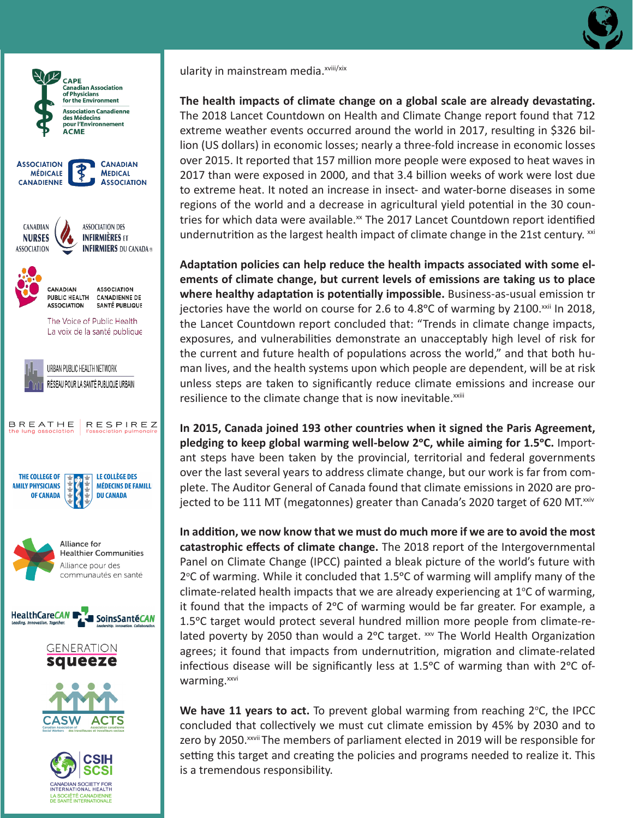



LA SOCIÉTÉ CANADIENNE<br>DE SANTÉ INTERNATIONALE

ularity in mainstream media.<sup>xviii/xix</sup>

**The health impacts of climate change on a global scale are already devastating.** The 2018 Lancet Countdown on Health and Climate Change report found that 712 extreme weather events occurred around the world in 2017, resulting in \$326 billion (US dollars) in economic losses; nearly a three-fold increase in economic losses over 2015. It reported that 157 million more people were exposed to heat waves in 2017 than were exposed in 2000, and that 3.4 billion weeks of work were lost due to extreme heat. It noted an increase in insect- and water-borne diseases in some regions of the world and a decrease in agricultural yield potential in the 30 countries for which data were available.<sup>xx</sup> The 2017 Lancet Countdown report identified undernutrition as the largest health impact of climate change in the 21st century.  $\frac{1}{x}$ 

**Adaptation policies can help reduce the health impacts associated with some elements of climate change, but current levels of emissions are taking us to place where healthy adaptation is potentially impossible.** Business-as-usual emission tr jectories have the world on course for 2.6 to  $4.8^{\circ}$ C of warming by 2100.<sup>xxii</sup> In 2018, the Lancet Countdown report concluded that: "Trends in climate change impacts, exposures, and vulnerabilities demonstrate an unacceptably high level of risk for the current and future health of populations across the world," and that both human lives, and the health systems upon which people are dependent, will be at risk unless steps are taken to significantly reduce climate emissions and increase our resilience to the climate change that is now inevitable.<sup>xxiii</sup>

**In 2015, Canada joined 193 other countries when it signed the Paris Agreement,**  pledging to keep global warming well-below 2°C, while aiming for 1.5°C. Important steps have been taken by the provincial, territorial and federal governments over the last several years to address climate change, but our work is far from complete. The Auditor General of Canada found that climate emissions in 2020 are projected to be 111 MT (megatonnes) greater than Canada's 2020 target of 620 MT. $^{xxiv}$ 

**In addition, we now know that we must do much more if we are to avoid the most catastrophic effects of climate change.** The 2018 report of the Intergovernmental Panel on Climate Change (IPCC) painted a bleak picture of the world's future with 2°C of warming. While it concluded that 1.5°C of warming will amplify many of the climate-related health impacts that we are already experiencing at  $1^{\circ}$ C of warming, it found that the impacts of  $2^{\circ}C$  of warming would be far greater. For example, a 1.5<sup>o</sup>C target would protect several hundred million more people from climate-related poverty by 2050 than would a 2°C target. xxv The World Health Organization agrees; it found that impacts from undernutrition, migration and climate-related infectious disease will be significantly less at 1.5 $\degree$ C of warming than with 2 $\degree$ C ofwarming.<sup>xxvi</sup>

We have 11 years to act. To prevent global warming from reaching 2°C, the IPCC concluded that collectively we must cut climate emission by 45% by 2030 and to zero by 2050.<sup>xxvii</sup> The members of parliament elected in 2019 will be responsible for setting this target and creating the policies and programs needed to realize it. This is a tremendous responsibility.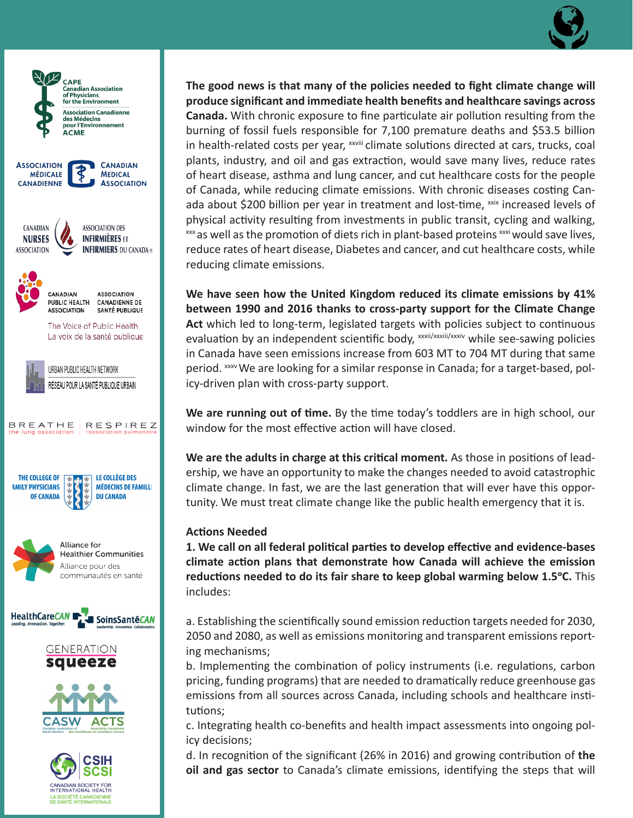



SOCIÉTÉ CANADIENNE<br>SANTÉ INTERNATIONALE

**The good news is that many of the policies needed to fight climate change will produce significant and immediate health benefits and healthcare savings across Canada.** With chronic exposure to fine particulate air pollution resulting from the burning of fossil fuels responsible for 7,100 premature deaths and \$53.5 billion in health-related costs per year,  $^{xxviii}$  climate solutions directed at cars, trucks, coal plants, industry, and oil and gas extraction, would save many lives, reduce rates of heart disease, asthma and lung cancer, and cut healthcare costs for the people of Canada, while reducing climate emissions. With chronic diseases costing Canada about \$200 billion per year in treatment and lost-time,  $x$ <sup>xix</sup> increased levels of physical activity resulting from investments in public transit, cycling and walking,  $\frac{1}{2}$  xxx as well as the promotion of diets rich in plant-based proteins  $\frac{1}{2}$  would save lives, reduce rates of heart disease, Diabetes and cancer, and cut healthcare costs, while reducing climate emissions.

**We have seen how the United Kingdom reduced its climate emissions by 41% between 1990 and 2016 thanks to cross-party support for the Climate Change Act** which led to long-term, legislated targets with policies subject to continuous evaluation by an independent scientific body, xxxii/xxxii/xxxiv while see-sawing policies in Canada have seen emissions increase from 603 MT to 704 MT during that same period. *xxxv* We are looking for a similar response in Canada; for a target-based, policy-driven plan with cross-party support.

**We are running out of time.** By the time today's toddlers are in high school, our window for the most effective action will have closed.

**We are the adults in charge at this critical moment.** As those in positions of leadership, we have an opportunity to make the changes needed to avoid catastrophic climate change. In fast, we are the last generation that will ever have this opportunity. We must treat climate change like the public health emergency that it is.

## **Actions Needed**

**1. We call on all federal political parties to develop effective and evidence-bases climate action plans that demonstrate how Canada will achieve the emission reductions needed to do its fair share to keep global warming below 1.5°C.** This includes:

a. Establishing the scientifically sound emission reduction targets needed for 2030, 2050 and 2080, as well as emissions monitoring and transparent emissions reporting mechanisms;

b. Implementing the combination of policy instruments (i.e. regulations, carbon pricing, funding programs) that are needed to dramatically reduce greenhouse gas emissions from all sources across Canada, including schools and healthcare institutions;

c. Integrating health co-benefits and health impact assessments into ongoing policy decisions;

d. In recognition of the significant (26% in 2016) and growing contribution of **the oil and gas sector** to Canada's climate emissions, identifying the steps that will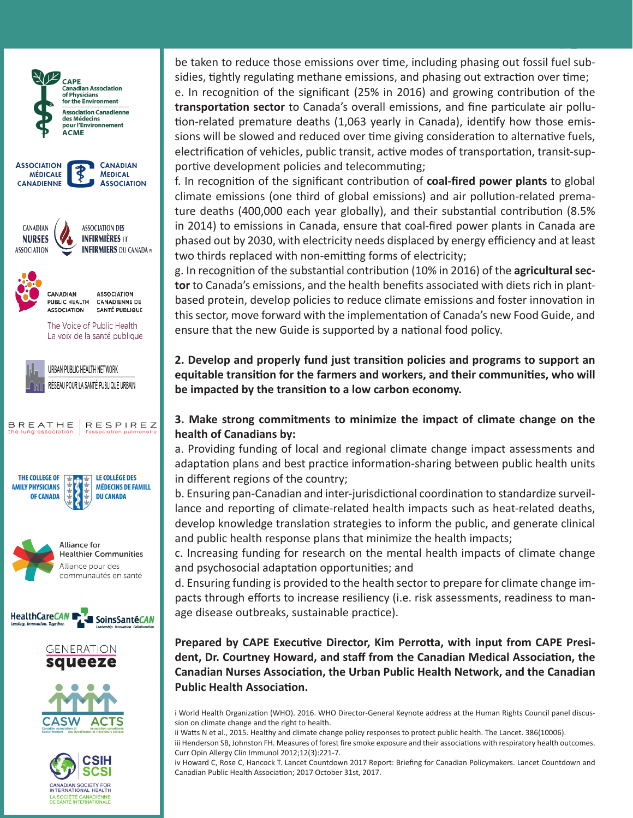

be taken to reduce those emissions over time, including phasing out fossil fuel subsidies, tightly regulating methane emissions, and phasing out extraction over time; e. In recognition of the significant (25% in 2016) and growing contribution of the

**transportation sector** to Canada's overall emissions, and fine particulate air pollution-related premature deaths (1,063 yearly in Canada), identify how those emissions will be slowed and reduced over time giving consideration to alternative fuels, electrification of vehicles, public transit, active modes of transportation, transit-supportive development policies and telecommuting;

f. In recognition of the significant contribution of **coal-fired power plants** to global climate emissions (one third of global emissions) and air pollution-related premature deaths (400,000 each year globally), and their substantial contribution (8.5% in 2014) to emissions in Canada, ensure that coal-fired power plants in Canada are phased out by 2030, with electricity needs displaced by energy efficiency and at least two thirds replaced with non-emitting forms of electricity;

g. In recognition of the substantial contribution (10% in 2016) of the **agricultural sector** to Canada's emissions, and the health benefits associated with diets rich in plantbased protein, develop policies to reduce climate emissions and foster innovation in this sector, move forward with the implementation of Canada's new Food Guide, and ensure that the new Guide is supported by a national food policy.

**2. Develop and properly fund just transition policies and programs to support an equitable transition for the farmers and workers, and their communities, who will be impacted by the transition to a low carbon economy.**

## **3. Make strong commitments to minimize the impact of climate change on the health of Canadians by:**

a. Providing funding of local and regional climate change impact assessments and adaptation plans and best practice information-sharing between public health units in different regions of the country;

b. Ensuring pan-Canadian and inter-jurisdictional coordination to standardize surveillance and reporting of climate-related health impacts such as heat-related deaths, develop knowledge translation strategies to inform the public, and generate clinical and public health response plans that minimize the health impacts;

c. Increasing funding for research on the mental health impacts of climate change and psychosocial adaptation opportunities; and

d. Ensuring funding is provided to the health sector to prepare for climate change impacts through efforts to increase resiliency (i.e. risk assessments, readiness to manage disease outbreaks, sustainable practice).

**Prepared by CAPE Executive Director, Kim Perrotta, with input from CAPE President, Dr. Courtney Howard, and staff from the Canadian Medical Association, the Canadian Nurses Association, the Urban Public Health Network, and the Canadian Public Health Association.**

i World Health Organization (WHO). 2016. WHO Director-General Keynote address at the Human Rights Council panel discussion on climate change and the right to health.

ii Watts N et al., 2015. Healthy and climate change policy responses to protect public health. The Lancet. 386(10006). iii Henderson SB, Johnston FH. Measures of forest fire smoke exposure and their associations with respiratory health outcomes. Curr Opin Allergy Clin Immunol 2012;12(3):221-7.

iv Howard C, Rose C, Hancock T. Lancet Countdown 2017 Report: Briefing for Canadian Policymakers. Lancet Countdown and Canadian Public Health Association; 2017 October 31st, 2017.